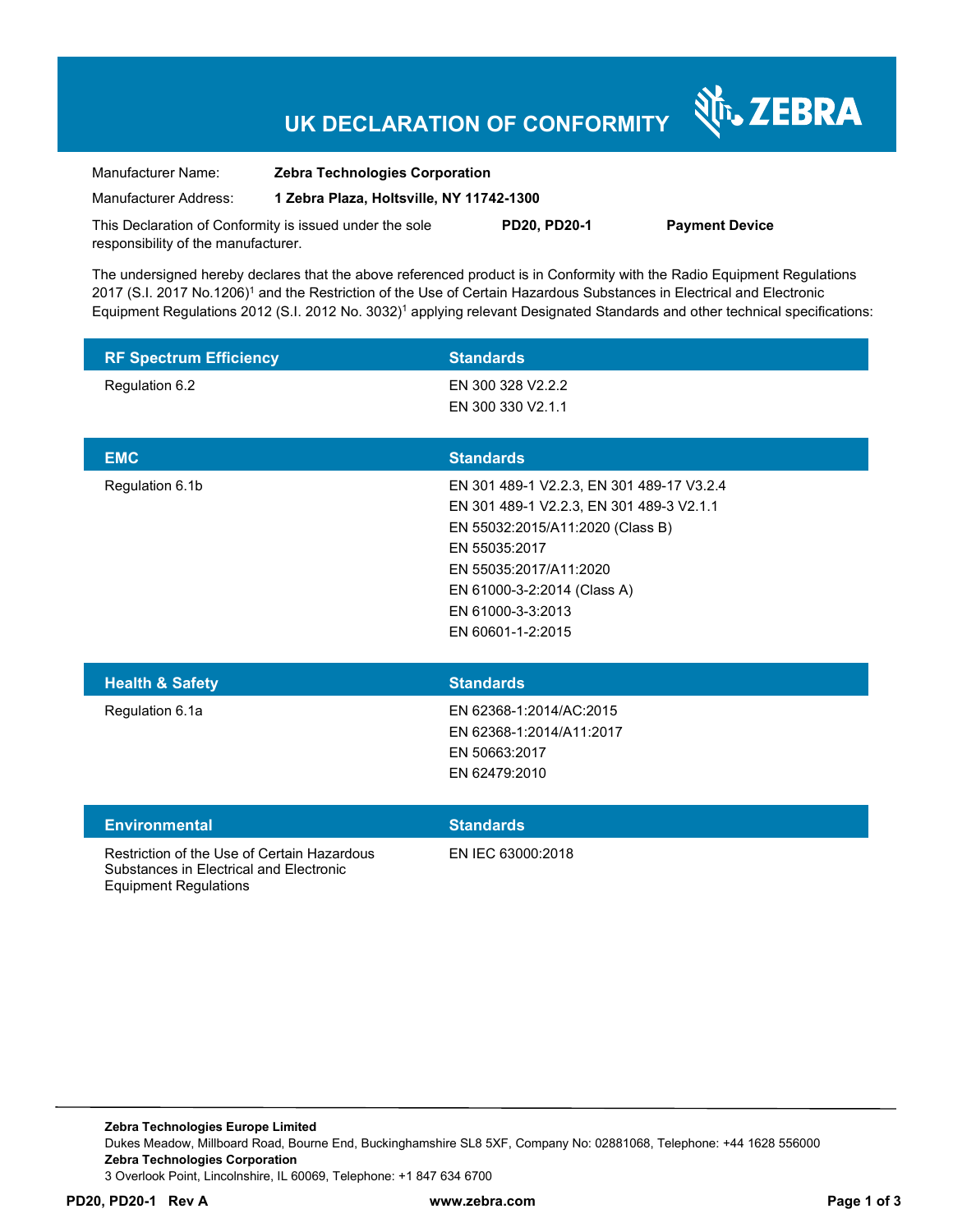# **UK DECLARATION OF CONFORMITY**

र्शे<sub>ं</sub> ZEBRA

| Manufacturer Name:                                      | <b>Zebra Technologies Corporation</b>    |                     |                       |
|---------------------------------------------------------|------------------------------------------|---------------------|-----------------------|
| Manufacturer Address:                                   | 1 Zebra Plaza, Holtsville, NY 11742-1300 |                     |                       |
| This Declaration of Conformity is issued under the sole |                                          | <b>PD20. PD20-1</b> | <b>Payment Device</b> |

The undersigned hereby declares that the above referenced product is in Conformity with the Radio Equipment Regulations 2017 (S.I. 2017 No.1206)<sup>1</sup> and the Restriction of the Use of Certain Hazardous Substances in Electrical and Electronic Equipment Regulations 2012 (S.I. 2012 No. 3032)<sup>1</sup> applying relevant Designated Standards and other technical specifications:

| <b>RF Spectrum Efficiency</b> | <b>Standards</b>                                                                                                                                                                                                                              |
|-------------------------------|-----------------------------------------------------------------------------------------------------------------------------------------------------------------------------------------------------------------------------------------------|
| Regulation 6.2                | EN 300 328 V2.2.2<br>EN 300 330 V2.1.1                                                                                                                                                                                                        |
| <b>EMC</b>                    | <b>Standards</b>                                                                                                                                                                                                                              |
| Regulation 6.1b               | EN 301 489-1 V2.2.3, EN 301 489-17 V3.2.4<br>EN 301 489-1 V2.2.3, EN 301 489-3 V2.1.1<br>EN 55032:2015/A11:2020 (Class B)<br>EN 55035:2017<br>EN 55035:2017/A11:2020<br>EN 61000-3-2:2014 (Class A)<br>EN 61000-3-3:2013<br>EN 60601-1-2:2015 |
| <b>Health &amp; Safety</b>    | <b>Standards</b>                                                                                                                                                                                                                              |
| Regulation 6.1a               | EN 62368-1:2014/AC:2015<br>EN 62368-1:2014/A11:2017<br>EN 50663:2017<br>EN 62479:2010                                                                                                                                                         |
| <b>Environmental</b>          | <b>Standards</b>                                                                                                                                                                                                                              |

Restriction of the Use of Certain Hazardous Substances in Electrical and Electronic Equipment Regulations

responsibility of the manufacturer.

EN IEC 63000:2018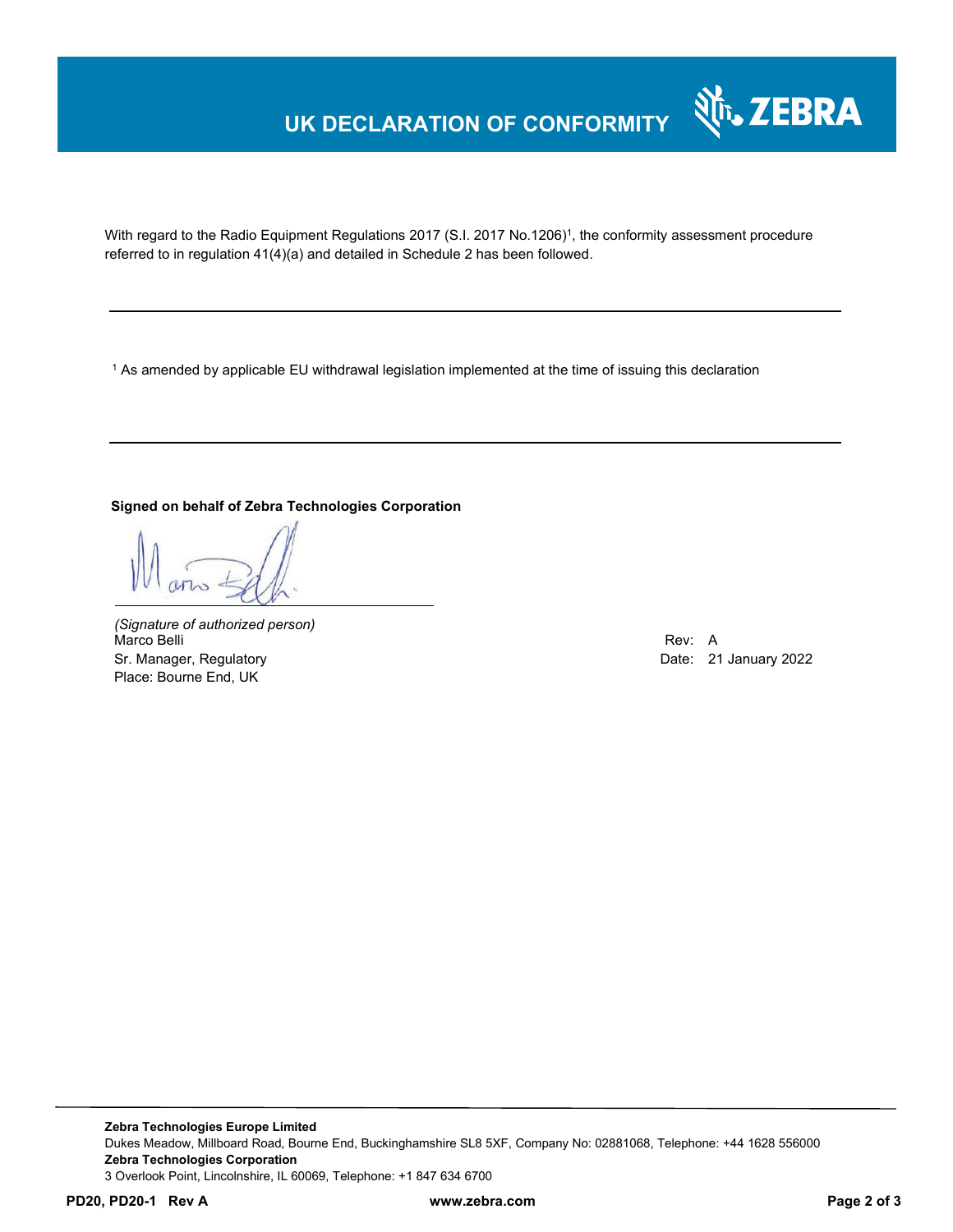## **UK DECLARATION OF CONFORMITY**



With regard to the Radio Equipment Regulations 2017 (S.I. 2017 No.1206)<sup>1</sup>, the conformity assessment procedure referred to in regulation 41(4)(a) and detailed in Schedule 2 has been followed.

 $^{\rm 1}$  As amended by applicable EU withdrawal legislation implemented at the time of issuing this declaration

### **Signed on behalf of Zebra Technologies Corporation**

*(Signature of authorized person)* Marco Belli Rev: A Annual Rev: A Annual Rev: A Annual Rev: A Annual Rev: A Annual Rev: A Annual Rev: A Annual Rev Sr. Manager, Regulatory **Date: 21 January 2022** Place: Bourne End, UK